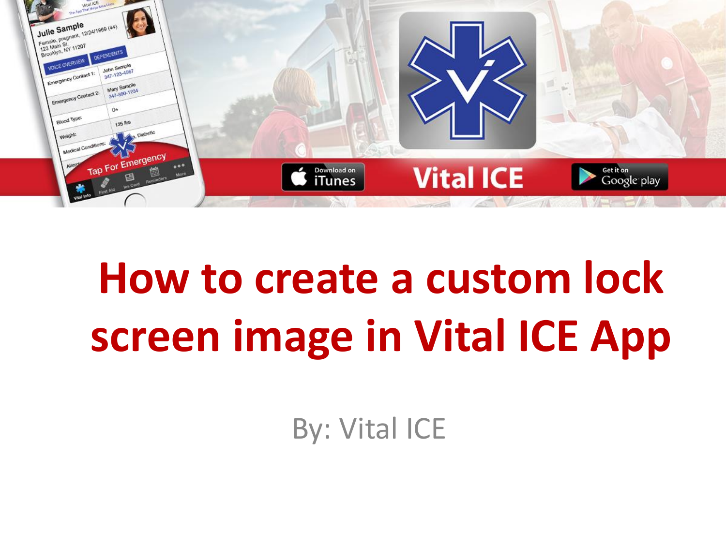

# **How to create a custom lock screen image in Vital ICE App**

By: Vital ICE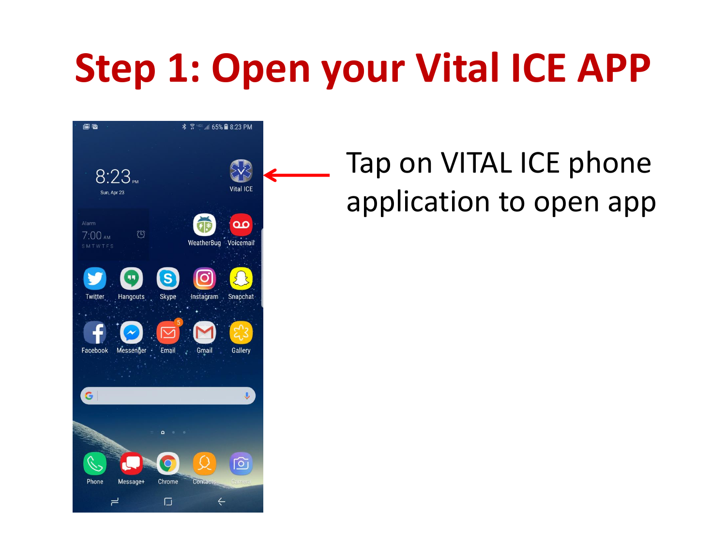## **Step 1: Open your Vital ICE APP**



#### Tap on VITAL ICE phone application to open app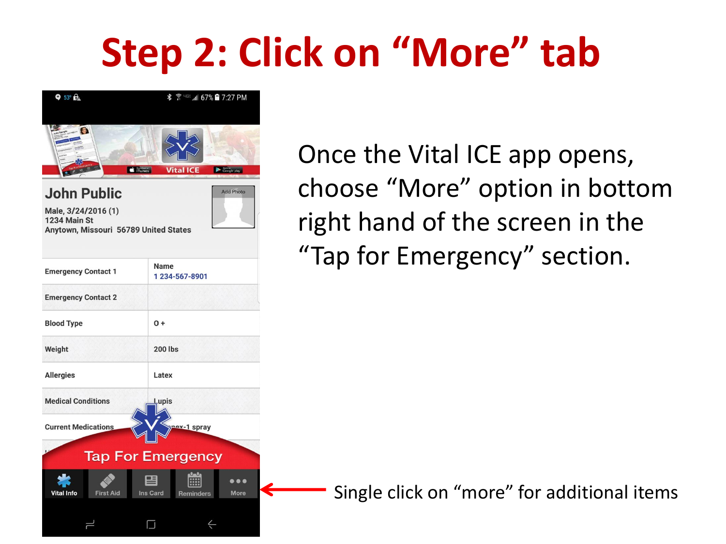## **Step 2: Click on "More" tab**



Once the Vital ICE app opens, choose "More" option in bottom right hand of the screen in the "Tap for Emergency" section.

Single click on "more" for additional items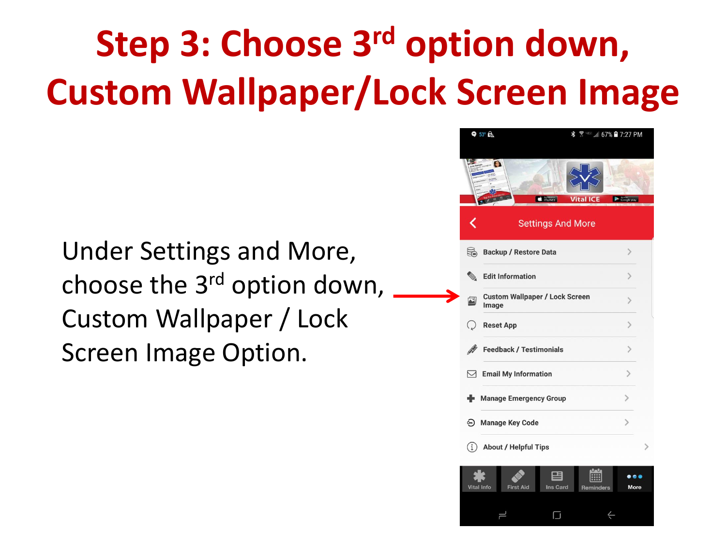## **Step 3: Choose 3rd option down, Custom Wallpaper/Lock Screen Image**

Under Settings and More, choose the 3rd option down, Custom Wallpaper / Lock Screen Image Option.



 $\Box$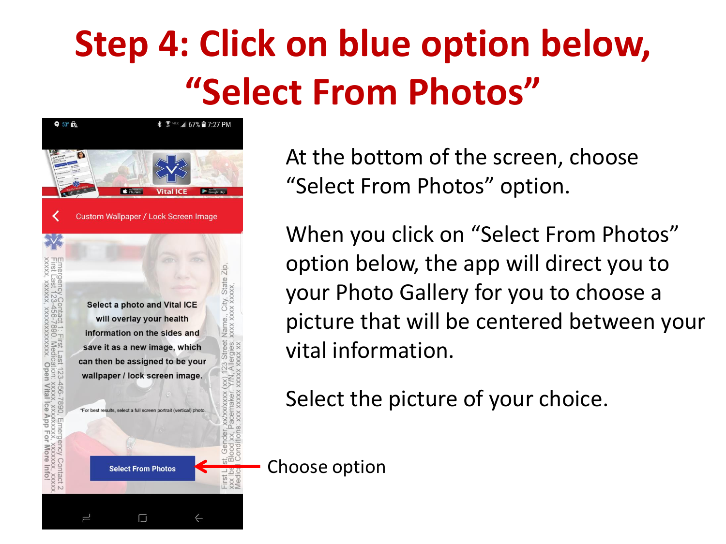#### **Step 4: Click on blue option below, "Select From Photos"**



At the bottom of the screen, choose "Select From Photos" option.

When you click on "Select From Photos" option below, the app will direct you to your Photo Gallery for you to choose a picture that will be centered between your vital information.

Select the picture of your choice.

Choose option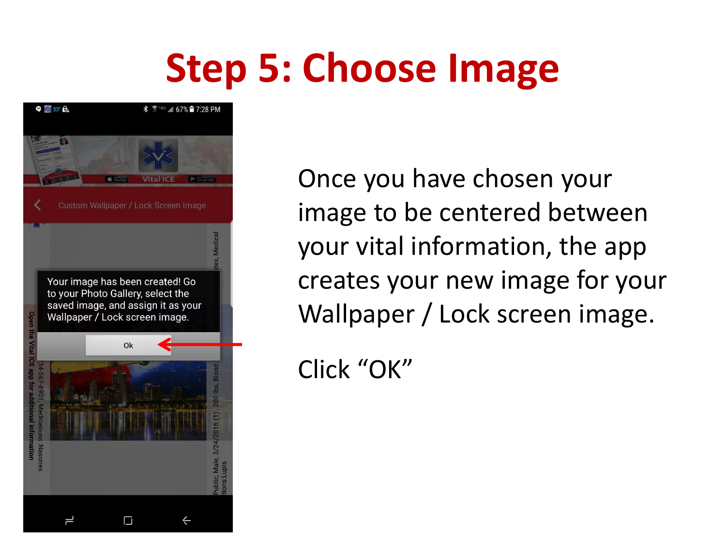#### **Step 5: Choose Image**



Once you have chosen your image to be centered between your vital information, the app creates your new image for your Wallpaper / Lock screen image.

Click "OK"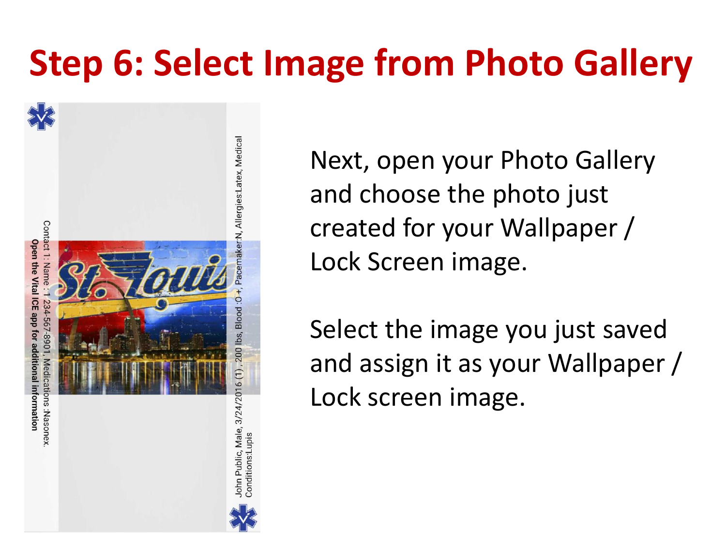#### **Step 6: Select Image from Photo Gallery**



Next, open your Photo Gallery and choose the photo just created for your Wallpaper / Lock Screen image.

Select the image you just saved and assign it as your Wallpaper / Lock screen image.